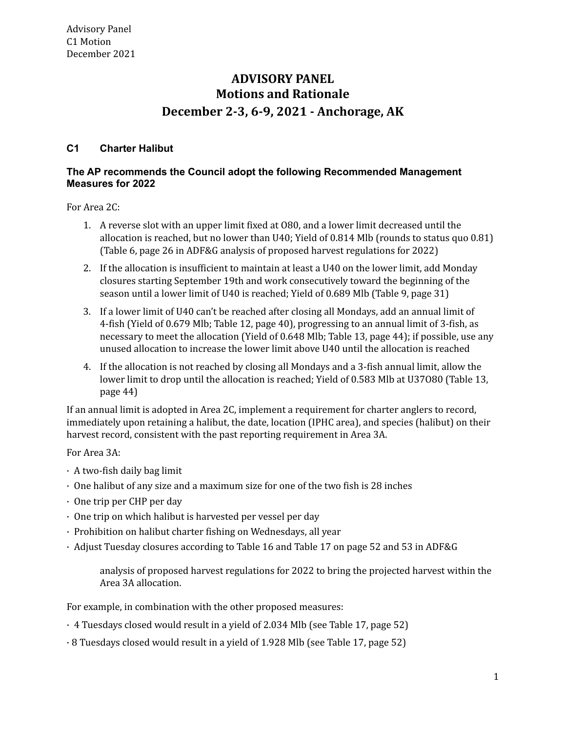# **Motions and Rationale December 2-3, 6-9, 2021 - Anchorage, AK ADVISORY PANEL**

## **C1 Charter Halibut**

## **The AP recommends the Council adopt the following Recommended Management Measures for 2022**

For Area 2C:

- 1. A reverse slot with an upper limit fixed at O80, and a lower limit decreased until the allocation is reached, but no lower than U40; Yield of 0.814 Mlb (rounds to status quo 0.81) (Table 6, page 26 in ADF&G analysis of proposed harvest regulations for 2022)
- 2. If the allocation is insufficient to maintain at least a U40 on the lower limit, add Monday closures starting September 19th and work consecutively toward the beginning of the season until a lower limit of U40 is reached; Yield of 0.689 Mlb (Table 9, page 31)
- 3. If a lower limit of U40 can't be reached after closing all Mondays, add an annual limit of 4-fish (Yield of 0.679 Mlb; Table 12, page 40), progressing to an annual limit of 3-fish, as necessary to meet the allocation (Yield of 0.648 Mlb; Table 13, page 44); if possible, use any unused allocation to increase the lower limit above U40 until the allocation is reached
- 4. If the allocation is not reached by closing all Mondays and a 3-fish annual limit, allow the lower limit to drop until the allocation is reached; Yield of 0.583 Mlb at U37O80 (Table 13, page 44)

 If an annual limit is adopted in Area 2C, implement a requirement for charter anglers to record, immediately upon retaining a halibut, the date, location (IPHC area), and species (halibut) on their harvest record, consistent with the past reporting requirement in Area 3A.

For Area 3A:

- · A two-fish daily bag limit
- · One halibut of any size and a maximum size for one of the two fish is 28 inches
- · One trip per CHP per day
- · One trip on which halibut is harvested per vessel per day
- · Prohibition on halibut charter fishing on Wednesdays, all year
- · Adjust Tuesday closures according to Table 16 and Table 17 on page 52 and 53 in ADF&G

 analysis of proposed harvest regulations for 2022 to bring the projected harvest within the Area 3A allocation.

For example, in combination with the other proposed measures:

- · 4 Tuesdays closed would result in a yield of 2.034 Mlb (see Table 17, page 52)
- · 8 Tuesdays closed would result in a yield of 1.928 Mlb (see Table 17, page 52)